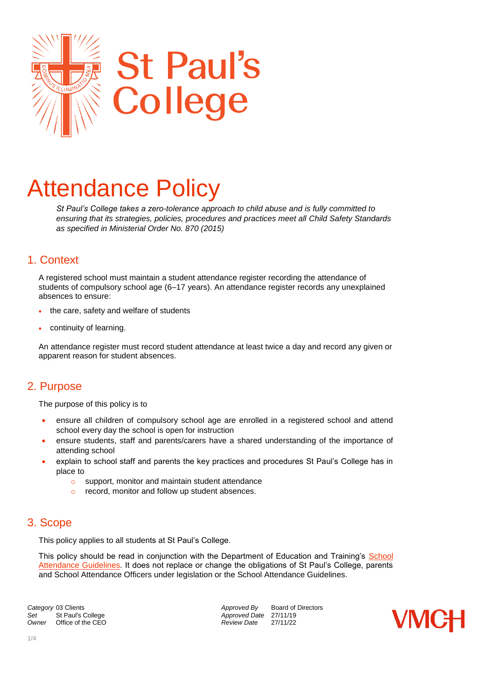

# Attendance Policy

*St Paul's College takes a zero-tolerance approach to child abuse and is fully committed to ensuring that its strategies, policies, procedures and practices meet all Child Safety Standards as specified in Ministerial Order No. 870 (2015)*

## 1. Context

A registered school must maintain a student attendance register recording the attendance of students of compulsory school age (6–17 years). An attendance register records any unexplained absences to ensure:

- the care, safety and welfare of students
- continuity of learning.

An attendance register must record student attendance at least twice a day and record any given or apparent reason for student absences.

# 2. Purpose

The purpose of this policy is to

- ensure all children of compulsory school age are enrolled in a registered school and attend school every day the school is open for instruction
- ensure students, staff and parents/carers have a shared understanding of the importance of attending school
- explain to school staff and parents the key practices and procedures St Paul's College has in place to
	- o support, monitor and maintain student attendance
	- o record, monitor and follow up student absences.

# 3. Scope

This policy applies to all students at St Paul's College.

This policy should be read in conjunction with the Department of Education and Training's [School](https://www.education.vic.gov.au/school/teachers/studentmanagement/attendance/Pages/default.aspx)  [Attendance Guidelines.](https://www.education.vic.gov.au/school/teachers/studentmanagement/attendance/Pages/default.aspx) It does not replace or change the obligations of St Paul's College, parents and School Attendance Officers under legislation or the School Attendance Guidelines.

**Category** 03 Clients *Category* 03 Clients *Approved By* Board of Directors *Approved By* Board of Directors Set St Paul's College *Set* Approved Date 27/11/19<br>
Owner Office of the CEO **Approved Date** 27/11/22 *Office of the CEO* 

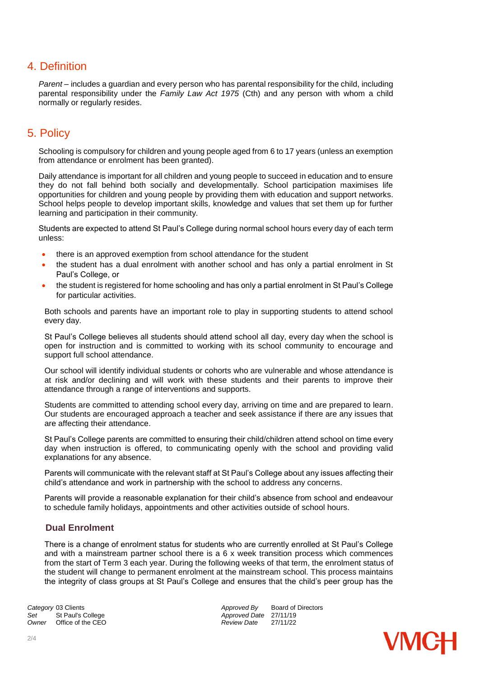## 4. Definition

Parent – includes a quardian and every person who has parental responsibility for the child, including parental responsibility under the *Family Law Act 1975* (Cth) and any person with whom a child normally or regularly resides.

# 5. Policy

Schooling is compulsory for children and young people aged from 6 to 17 years (unless an exemption from attendance or enrolment has been granted).

Daily attendance is important for all children and young people to succeed in education and to ensure they do not fall behind both socially and developmentally. School participation maximises life opportunities for children and young people by providing them with education and support networks. School helps people to develop important skills, knowledge and values that set them up for further learning and participation in their community.

Students are expected to attend St Paul's College during normal school hours every day of each term unless:

- there is an approved exemption from school attendance for the student
- the student has a dual enrolment with another school and has only a partial enrolment in St Paul's College, or
- the student is registered for home schooling and has only a partial enrolment in St Paul's College for particular activities.

Both schools and parents have an important role to play in supporting students to attend school every day.

St Paul's College believes all students should attend school all day, every day when the school is open for instruction and is committed to working with its school community to encourage and support full school attendance.

Our school will identify individual students or cohorts who are vulnerable and whose attendance is at risk and/or declining and will work with these students and their parents to improve their attendance through a range of interventions and supports.

Students are committed to attending school every day, arriving on time and are prepared to learn. Our students are encouraged approach a teacher and seek assistance if there are any issues that are affecting their attendance.

St Paul's College parents are committed to ensuring their child/children attend school on time every day when instruction is offered, to communicating openly with the school and providing valid explanations for any absence.

Parents will communicate with the relevant staff at St Paul's College about any issues affecting their child's attendance and work in partnership with the school to address any concerns.

Parents will provide a reasonable explanation for their child's absence from school and endeavour to schedule family holidays, appointments and other activities outside of school hours.

## **Dual Enrolment**

There is a change of enrolment status for students who are currently enrolled at St Paul's College and with a mainstream partner school there is a 6 x week transition process which commences from the start of Term 3 each year. During the following weeks of that term, the enrolment status of the student will change to permanent enrolment at the mainstream school. This process maintains the integrity of class groups at St Paul's College and ensures that the child's peer group has the

**Category** 03 Clients **Approved By** Board of Directors<br> **Approved By** Board of Directors<br> *Approved Date* 27/11/19 Set St Paul's College *Set* St Paul's College *Approved Date* 27/11/19<br> *Owner* Office of the CEO *Approved Date* 27/11/22 *Office of the CEO* 

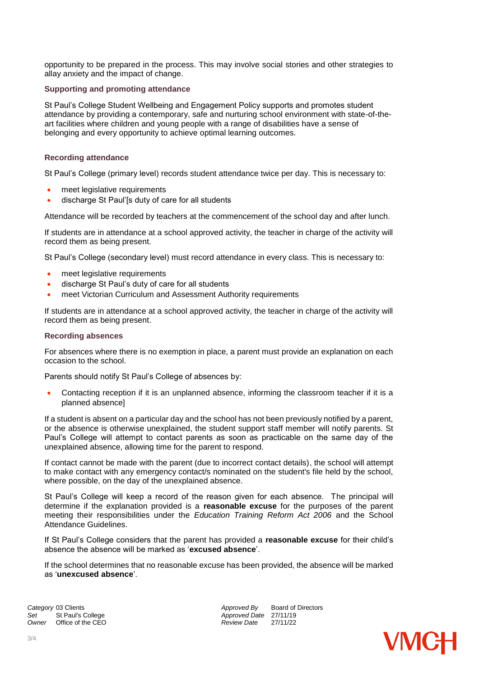opportunity to be prepared in the process. This may involve social stories and other strategies to allay anxiety and the impact of change.

#### **Supporting and promoting attendance**

St Paul's College Student Wellbeing and Engagement Policy supports and promotes student attendance by providing a contemporary, safe and nurturing school environment with state-of-theart facilities where children and young people with a range of disabilities have a sense of belonging and every opportunity to achieve optimal learning outcomes.

## **Recording attendance**

St Paul's College (primary level) records student attendance twice per day. This is necessary to:

- meet legislative requirements
- discharge St Paul'[s duty of care for all students

Attendance will be recorded by teachers at the commencement of the school day and after lunch.

If students are in attendance at a school approved activity, the teacher in charge of the activity will record them as being present.

St Paul's College (secondary level) must record attendance in every class. This is necessary to:

- meet legislative requirements
- discharge St Paul's duty of care for all students
- meet Victorian Curriculum and Assessment Authority requirements

If students are in attendance at a school approved activity, the teacher in charge of the activity will record them as being present.

#### **Recording absences**

For absences where there is no exemption in place, a parent must provide an explanation on each occasion to the school.

Parents should notify St Paul's College of absences by:

 Contacting reception if it is an unplanned absence, informing the classroom teacher if it is a planned absence]

If a student is absent on a particular day and the school has not been previously notified by a parent, or the absence is otherwise unexplained, the student support staff member will notify parents. St Paul's College will attempt to contact parents as soon as practicable on the same day of the unexplained absence, allowing time for the parent to respond.

If contact cannot be made with the parent (due to incorrect contact details), the school will attempt to make contact with any emergency contact/s nominated on the student's file held by the school, where possible, on the day of the unexplained absence.

St Paul's College will keep a record of the reason given for each absence. The principal will determine if the explanation provided is a **reasonable excuse** for the purposes of the parent meeting their responsibilities under the *Education Training Reform Act 2006* and the School Attendance Guidelines.

If St Paul's College considers that the parent has provided a **reasonable excuse** for their child's absence the absence will be marked as '**excused absence**'.

If the school determines that no reasonable excuse has been provided, the absence will be marked as '**unexcused absence**'.

Set St Paul's College *Set* St Paul's College *Approved Date* 27/11/19<br> *Owner* Office of the CEO *Approved Date* 27/11/22 *Office of the CEO* 

**Category** 03 Clients **Approved By** Board of Directors *Approved By* Board of Directors *Approved Bate* 27/11/19